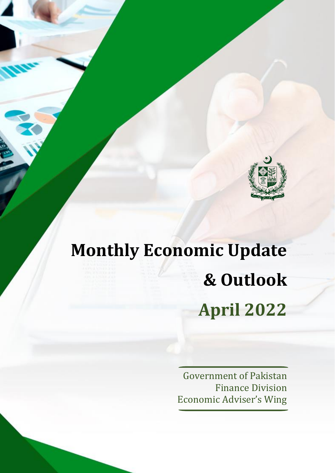

# **Monthly Economic Update & Outlook April 2022**

Government of Pakistan Finance Division Economic Adviser's Wing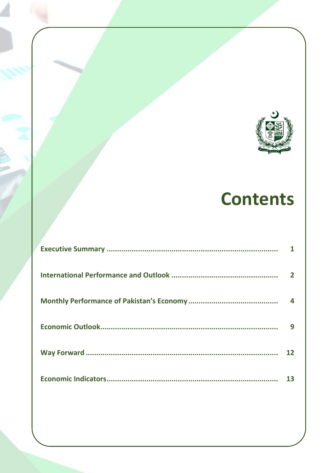

# **Contents**

| $\overline{2}$ |
|----------------|
| 4              |
| 9              |
|                |
| 13             |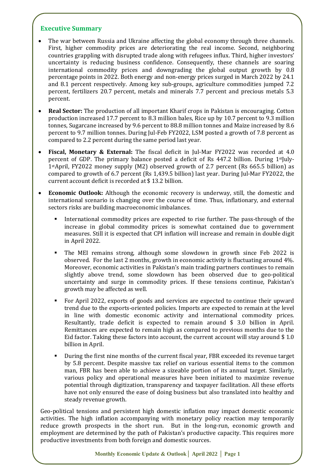#### **Executive Summary**

- The war between Russia and Ukraine affecting the global economy through three channels. First, higher commodity prices are deteriorating the real income. Second, neighboring countries grappling with disrupted trade along with refugees influx. Third, higher investors' uncertainty is reducing business confidence. Consequently, these channels are soaring international commodity prices and downgrading the global output growth by 0.8 percentage points in 2022. Both energy and non-energy prices surged in March 2022 by 24.1 and 8.1 percent respectively. Among key sub-groups, agriculture commodities jumped 7.2 percent, fertilizers 20.7 percent, metals and minerals 7.7 percent and precious metals 5.3 percent.
- **Real Sector:** The production of all important Kharif crops in Pakistan is encouraging. Cotton production increased 17.7 percent to 8.3 million bales, Rice up by 10.7 percent to 9.3 million tonnes, Sugarcane increased by 9.6 percent to 88.8 million tonnes and Maize increased by 8.6 percent to 9.7 million tonnes. During Jul-Feb FY2022, LSM posted a growth of 7.8 percent as compared to 2.2 percent during the same period last year.
- **Fiscal, Monetary & External:** The fiscal deficit in Jul-Mar FY2022 was recorded at 4.0 percent of GDP. The primary balance posted a deficit of Rs  $447.2$  billion. During 1<sup>st</sup>July-1stApril, FY2022 money supply (M2) observed growth of 2.7 percent (Rs 665.5 billion) as compared to growth of 6.7 percent (Rs 1,439.5 billion) last year. During Jul-Mar FY2022, the current account deficit is recorded at \$ 13.2 billion.
- **Economic Outlook:** Although the economic recovery is underway, still, the domestic and international scenario is changing over the course of time. Thus, inflationary, and external sectors risks are building macroeconomic imbalances.
	- International commodity prices are expected to rise further. The pass-through of the increase in global commodity prices is somewhat contained due to government measures. Still it is expected that CPI inflation will increase and remain in double digit in April 2022.
	- The MEI remains strong, although some slowdown in growth since Feb 2022 is observed. For the last 2 months, growth in economic activity is fluctuating around 4%. Moreover, economic activities in Pakistan's main trading partners continues to remain slightly above trend, some slowdown has been observed due to geo-political uncertainty and surge in commodity prices. If these tensions continue, Pakistan's growth may be affected as well.
	- For April 2022, exports of goods and services are expected to continue their upward trend due to the exports-oriented policies. Imports are expected to remain at the level in line with domestic economic activity and international commodity prices. Resultantly, trade deficit is expected to remain around \$ 3.0 billion in April. Remittances are expected to remain high as compared to previous months due to the Eid factor. Taking these factors into account, the current account will stay around \$ 1.0 billion in April.
	- During the first nine months of the current fiscal year, FBR exceeded its revenue target by 5.8 percent. Despite massive tax relief on various essential items to the common man, FBR has been able to achieve a sizeable portion of its annual target. Similarly, various policy and operational measures have been initiated to maximize revenue potential through digitization, transparency and taxpayer facilitation. All these efforts have not only ensured the ease of doing business but also translated into healthy and steady revenue growth.

Geo-political tensions and persistent high domestic inflation may impact domestic economic activities. The high inflation accompanying with monetary policy reaction may temporarily reduce growth prospects in the short run. But in the long-run, economic growth and employment are determined by the path of Pakistan's productive capacity. This requires more productive investments from both foreign and domestic sources.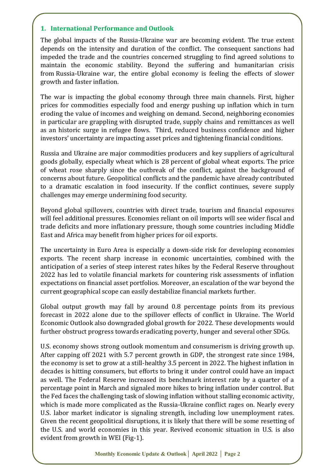#### **1. International Performance and Outlook**

The global impacts of the Russia-Ukraine war are becoming evident. The true extent depends on the intensity and duration of the conflict. The consequent sanctions had impeded the trade and the countries concerned struggling to find agreed solutions to maintain the economic stability. Beyond the suffering and humanitarian crisis from [Russia-Ukraine war, t](https://www.imf.org/en/Topics/IMF-and-Ukraine)he entire global economy is feeling the effects of slower growth and faster inflation.

The war is impacting the global economy through three main channels. First, higher prices for commodities especially food and energy pushing up inflation which in turn eroding the value of incomes and weighing on demand. Second, neighboring economies in particular are grappling with disrupted trade, supply chains and remittances as well as an historic surge in refugee flows. Third, reduced business confidence and higher investors' uncertainty are impacting asset prices and tightening financial conditions.

Russia and Ukraine are major commodities producers and key suppliers of agricultural goods globally, especially wheat which is 28 percent of global wheat exports. The price of wheat rose sharply since the outbreak of the conflict, against the background of concerns about future. Geopolitical conflicts and the pandemic have already contributed to a dramatic escalation in food insecurity. If the conflict continues, severe supply challenges may emerge undermining food security.

Beyond global spillovers, countries with direct trade, tourism and financial exposures will feel additional pressures. Economies reliant on oil imports will see wider fiscal and trade deficits and more inflationary pressure, though some countries including Middle East and Africa may benefit from higher prices for oil exports.

The uncertainty in Euro Area is especially a down-side risk for developing economies exports. The recent sharp increase in economic uncertainties, combined with the anticipation of a series of steep interest rates hikes by the Federal Reserve throughout 2022 has led to volatile financial markets for countering risk assessments of inflation expectations on financial asset portfolios. Moreover, an escalation of the war beyond the current geographical scope can easily destabilize financial markets further.

Global output growth may fall by around 0.8 percentage points from its previous forecast in 2022 alone due to the spillover effects of conflict in Ukraine. The World Economic Outlook also downgraded global growth for 2022. These developments would further obstruct progress towards eradicating poverty, hunger and several other SDGs.

U.S. economy shows strong outlook momentum and consumerism is driving growth up. After capping off 2021 with 5.7 percent growth in GDP, the strongest rate since 1984, the economy is set to grow at a still-healthy 3.5 percent in 2022. The highest inflation in decades is hitting consumers, but efforts to bring it under control could have an impact as well. The Federal Reserve increased its benchmark interest rate by a quarter of a percentage point in March and signaled more hikes to bring inflation under control. But the Fed faces the challenging task of slowing inflation without stalling economic activity, which is made more complicated as the Russia-Ukraine conflict rages on. Nearly every U.S. labor market indicator is signaling strength, including low unemployment rates. Given the recent geopolitical disruptions, it is likely that there will be some resetting of the U.S. and world economies in this year. Revived economic situation in U.S. is also evident from growth in WEI (Fig-1).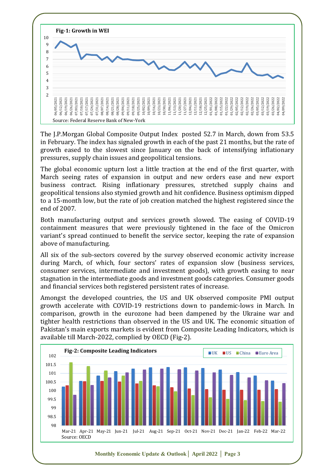

The J.P.Morgan Global Composite Output Index posted 52.7 in March, down from 53.5 in February. The index has signaled growth in each of the past 21 months, but the rate of growth eased to the slowest since January on the back of intensifying inflationary pressures, supply chain issues and geopolitical tensions.

The global economic upturn lost a little traction at the end of the first quarter, with March seeing rates of expansion in output and new orders ease and new export business contract. Rising inflationary pressures, stretched supply chains and geopolitical tensions also stymied growth and hit confidence. Business optimism dipped to a 15-month low, but the rate of job creation matched the highest registered since the end of 2007.

Both manufacturing output and services growth slowed. The easing of COVID-19 containment measures that were previously tightened in the face of the Omicron variant's spread continued to benefit the service sector, keeping the rate of expansion above of manufacturing.

All six of the sub-sectors covered by the survey observed economic activity increase during March, of which, four sectors' rates of expansion slow (business services, consumer services, intermediate and investment goods), with growth easing to near stagnation in the intermediate goods and investment goods categories. Consumer goods and financial services both registered persistent rates of increase.

Amongst the developed countries, the US and UK observed composite PMI output growth accelerate with COVID-19 restrictions down to pandemic-lows in March. In comparison, growth in the eurozone had been dampened by the Ukraine war and tighter health restrictions than observed in the US and UK. The economic situation of Pakistan's main exports markets is evident from Composite Leading Indicators, which is available till March-2022, complied by OECD (Fig-2).

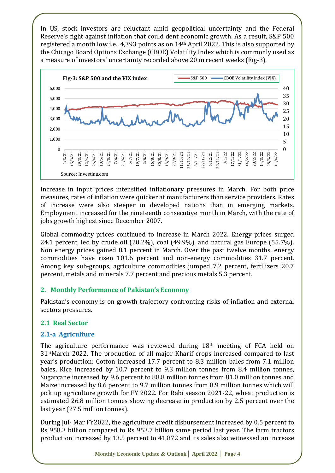In US, stock investors are reluctant amid geopolitical uncertainty and the Federal Reserve's fight against inflation that could dent economic growth. As a result, S&P 500 registered a month low i.e., 4,393 points as on  $14<sup>th</sup>$  April 2022. This is also supported by the Chicago Board Options Exchange (CBOE) Volatility Index which is commonly used as a measure of investors' uncertainty recorded above 20 in recent weeks (Fig-3).



Increase in input prices intensified inflationary pressures in March. For both price measures, rates of inflation were quicker at manufacturers than service providers. Rates of increase were also steeper in developed nations than in emerging markets. Employment increased for the nineteenth consecutive month in March, with the rate of jobs growth highest since December 2007.

Global commodity prices continued to increase in March 2022. Energy prices surged 24.1 percent, led by crude oil (20.2%), coal (49.9%), and natural gas Europe (55.7%). Non energy prices gained 8.1 percent in March. Over the past twelve months, energy commodities have risen 101.6 percent and non-energy commodities 31.7 percent. Among key sub-groups, agriculture commodities jumped 7.2 percent, fertilizers 20.7 percent, metals and minerals 7.7 percent and precious metals 5.3 percent.

#### **2. Monthly Performance of Pakistan's Economy**

Pakistan's economy is on growth trajectory confronting risks of inflation and external sectors pressures.

#### **2.1 Real Sector**

#### **2.1-a Agriculture**

The agriculture performance was reviewed during 18<sup>th</sup> meeting of FCA held on 31stMarch 2022. The production of all major Kharif crops increased compared to last year's production: Cotton increased 17.7 percent to 8.3 million bales from 7.1 million bales, Rice increased by 10.7 percent to 9.3 million tonnes from 8.4 million tonnes, Sugarcane increased by 9.6 percent to 88.8 million tonnes from 81.0 million tonnes and Maize increased by 8.6 percent to 9.7 million tonnes from 8.9 million tonnes which will jack up agriculture growth for FY 2022. For Rabi season 2021-22, wheat production is estimated 26.8 million tonnes showing decrease in production by 2.5 percent over the last year (27.5 million tonnes).

During Jul- Mar FY2022, the agriculture credit disbursement increased by 0.5 percent to Rs 958.3 billion compared to Rs 953.7 billion same period last year. The farm tractors production increased by 13.5 percent to 41,872 and its sales also witnessed an increase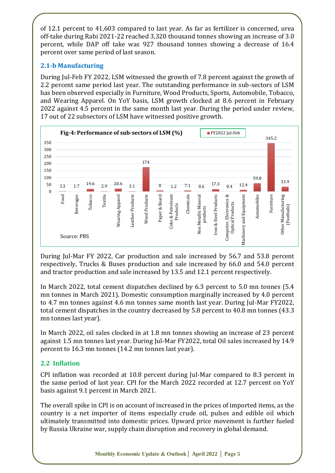of 12.1 percent to 41,603 compared to last year. As far as fertilizer is concerned, urea off-take during Rabi 2021-22 reached 3,320 thousand tonnes showing an increase of 3.0 percent, while DAP off take was 927 thousand tonnes showing a decrease of 16.4 percent over same period of last season.

# **2.1-b Manufacturing**

During Jul-Feb FY 2022, LSM witnessed the growth of 7.8 percent against the growth of 2.2 percent same period last year. The outstanding performance in sub-sectors of LSM has been observed especially in Furniture, Wood Products, Sports, Automobile, Tobacco, and Wearing Apparel. On YoY basis, LSM growth clocked at 8.6 percent in February 2022 against 4.5 percent in the same month last year. During the period under review, 17 out of 22 subsectors of LSM have witnessed positive growth.



During Jul-Mar FY 2022, Car production and sale increased by 56.7 and 53.8 percent respectively, Trucks & Buses production and sale increased by 66.0 and 54.0 percent and tractor production and sale increased by 13.5 and 12.1 percent respectively.

In March 2022, total cement dispatches declined by 6.3 percent to 5.0 mn tonnes (5.4 mn tonnes in March 2021). Domestic consumption marginally increased by 4.0 percent to 4.7 mn tonnes against 4.6 mn tonnes same month last year. During Jul-Mar FY2022, total cement dispatches in the country decreased by 5.8 percent to 40.8 mn tonnes (43.3 mn tonnes last year).

In March 2022, oil sales clocked in at 1.8 mn tonnes showing an increase of 23 percent against 1.5 mn tonnes last year. During Jul-Mar FY2022, total Oil sales increased by 14.9 percent to 16.3 mn tonnes (14.2 mn tonnes last year).

# **2.2 Inflation**

CPI inflation was recorded at 10.8 percent during Jul-Mar compared to 8.3 percent in the same period of last year. CPI for the March 2022 recorded at 12.7 percent on YoY basis against 9.1 percent in March 2021.

The overall spike in CPI is on account of increased in the prices of imported items, as the country is a net importer of items especially crude oil, pulses and edible oil which ultimately transmitted into domestic prices. Upward price movement is further fueled by Russia Ukraine war, supply chain disruption and recovery in global demand.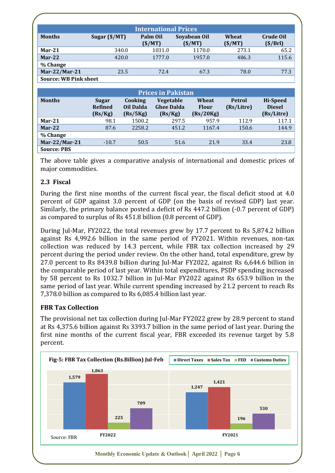|                              | <b>International Prices</b>        |                                  |                                                  |                                    |                             |                                                |  |
|------------------------------|------------------------------------|----------------------------------|--------------------------------------------------|------------------------------------|-----------------------------|------------------------------------------------|--|
| <b>Months</b>                | Sugar (\$/MT)                      |                                  | Palm Oil<br>(S/MT)                               | Soyabean Oil<br>(S/MT)             | Wheat<br>(S/MT)             | <b>Crude Oil</b><br>(S/Brl)                    |  |
| $Mar-21$                     |                                    | 340.0                            | 1031.0                                           | 1170.0                             | 273.1                       | 65.2                                           |  |
| $Mar-22$                     |                                    | 420.0                            | 1777.0                                           | 1957.0                             | 486.3                       | 115.6                                          |  |
| % Change                     |                                    |                                  |                                                  |                                    |                             |                                                |  |
| Mar-22/Mar-21                |                                    | 23.5                             | 72.4                                             | 67.3                               | 78.0                        | 77.3                                           |  |
| <b>Source: WB Pink sheet</b> |                                    |                                  |                                                  |                                    |                             |                                                |  |
|                              |                                    |                                  |                                                  |                                    |                             |                                                |  |
| <b>Prices in Pakistan</b>    |                                    |                                  |                                                  |                                    |                             |                                                |  |
| <b>Months</b>                | Sugar<br><b>Refined</b><br>(Rs/Kg) | Cooking<br>Oil Dalda<br>(Rs/5Kg) | <b>Vegetable</b><br><b>Ghee Dalda</b><br>(Rs/Kg) | Wheat<br><b>Flour</b><br>(Rs/20Kg) | <b>Petrol</b><br>(Rs/Litre) | <b>Hi-Speed</b><br><b>Diesel</b><br>(Rs/Litre) |  |
| $Mar-21$                     | 98.1                               | 1500.2                           |                                                  | 297.5<br>957.9                     | 112.9                       | 117.1                                          |  |

**% Change Mar-22/Mar-21** -10.7 50.5 51.6 21.9 33.4 23.8 **Source: PBS**

**Mar-22** 87.6 2258.2 451.2 1167.4 150.6 144.9

The above table gives a comparative analysis of international and domestic prices of major commodities.

# **2.3 Fiscal**

During the first nine months of the current fiscal year, the fiscal deficit stood at 4.0 percent of GDP against 3.0 percent of GDP (on the basis of revised GDP) last year. Similarly, the primary balance posted a deficit of Rs 447.2 billion (-0.7 percent of GDP) as compared to surplus of Rs 451.8 billion (0.8 percent of GDP).

During Jul-Mar, FY2022, the total revenues grew by 17.7 percent to Rs 5,874.2 billion against Rs 4,992.6 billion in the same period of FY2021. Within revenues, non-tax collection was reduced by 14.3 percent, while FBR tax collection increased by 29 percent during the period under review. On the other hand, total expenditure, grew by 27.0 percent to Rs 8439.8 billion during Jul-Mar FY2022, against Rs 6,644.6 billion in the comparable period of last year. Within total expenditures, PSDP spending increased by 58 percent to Rs 1032.7 billion in Jul-Mar FY2022 against Rs 653.9 billion in the same period of last year. While current spending increased by 21.2 percent to reach Rs 7,378.0 billion as compared to Rs 6,085.4 billion last year.

# **FBR Tax Collection**

The provisional net tax collection during Jul-Mar FY2022 grew by 28.9 percent to stand at Rs 4,375.6 billion against Rs 3393.7 billion in the same period of last year. During the first nine months of the current fiscal year, FBR exceeded its revenue target by 5.8 percent.

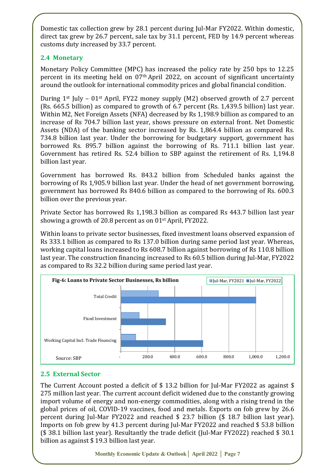Domestic tax collection grew by 28.1 percent during Jul-Mar FY2022. Within domestic, direct tax grew by 26.7 percent, sale tax by 31.1 percent, FED by 14.9 percent whereas customs duty increased by 33.7 percent.

# **2.4 Monetary**

Monetary Policy Committee (MPC) has increased the policy rate by 250 bps to 12.25 percent in its meeting held on 07th April 2022, on account of significant uncertainty around the outlook for international commodity prices and global financial condition.

During 1st July – 01st April, FY22 money supply (M2) observed growth of 2.7 percent (Rs. 665.5 billion) as compared to growth of 6.7 percent (Rs. 1,439.5 billion) last year. Within M2, Net Foreign Assets (NFA) decreased by Rs 1,198.9 billion as compared to an increase of Rs 704.7 billion last year, shows pressure on external front. Net Domestic Assets (NDA) of the banking sector increased by Rs. 1,864.4 billion as compared Rs. 734.8 billion last year. Under the borrowing for budgetary support, government has borrowed Rs. 895.7 billion against the borrowing of Rs. 711.1 billion last year. Government has retired Rs. 52.4 billion to SBP against the retirement of Rs. 1,194.8 billion last year.

Government has borrowed Rs. 843.2 billion from Scheduled banks against the borrowing of Rs 1,905.9 billion last year. Under the head of net government borrowing, government has borrowed Rs 840.6 billion as compared to the borrowing of Rs. 600.3 billion over the previous year.

Private Sector has borrowed Rs 1,198.3 billion as compared Rs 443.7 billion last year showing a growth of 20.8 percent as on 01st April, FY2022.

Within loans to private sector businesses, fixed investment loans observed expansion of Rs 333.1 billion as compared to Rs 137.0 billion during same period last year. Whereas, working capital loans increased to Rs 608.7 billion against borrowing of Rs 110.8 billion last year. The construction financing increased to Rs 60.5 billion during Jul-Mar, FY2022 as compared to Rs 32.2 billion during same period last year.



# **2.5 External Sector**

The Current Account posted a deficit of \$13.2 billion for Jul-Mar FY2022 as against \$ 275 million last year. The current account deficit widened due to the constantly growing import volume of energy and non-energy commodities, along with a rising trend in the global prices of oil, COVID-19 vaccines, food and metals. Exports on fob grew by 26.6 percent during Jul-Mar FY2022 and reached \$ 23.7 billion (\$ 18.7 billion last year). Imports on fob grew by 41.3 percent during Jul-Mar FY2022 and reached \$ 53.8 billion (\$ 38.1 billion last year). Resultantly the trade deficit (Jul-Mar FY2022) reached \$ 30.1 billion as against \$ 19.3 billion last year.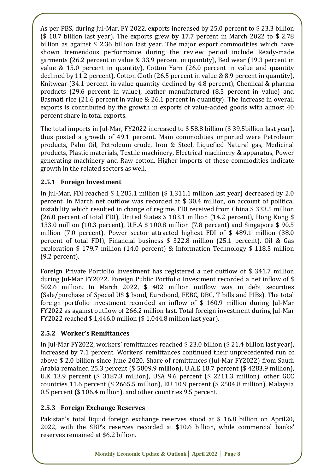As per PBS, during Jul-Mar, FY 2022, exports increased by 25.0 percent to \$ 23.3 billion (\$ 18.7 billion last year). The exports grew by 17.7 percent in March 2022 to \$ 2.78 billion as against \$ 2.36 billion last year. The major export commodities which have shown tremendous performance during the review period include Ready-made garments (26.2 percent in value & 33.9 percent in quantity), Bed wear (19.3 percent in value & 15.0 percent in quantity), Cotton Yarn (26.0 percent in value and quantity declined by 11.2 percent), Cotton Cloth (26.5 percent in value & 8.9 percent in quantity), Knitwear (34.1 percent in value quantity declined by 4.8 percent), Chemical & pharma products (29.6 percent in value), leather manufactured (8.5 percent in value) and Basmati rice (21.6 percent in value & 26.1 percent in quantity). The increase in overall exports is contributed by the growth in exports of value-added goods with almost 40 percent share in total exports.

The total imports in Jul-Mar, FY2022 increased to \$ 58.8 billion (\$ 39.5billion last year), thus posted a growth of 49.1 percent. Main commodities imported were Petroleum products, Palm Oil, Petroleum crude, Iron & Steel, Liquefied Natural gas, Medicinal products, Plastic materials, Textile machinery, Electrical machinery & apparatus, Power generating machinery and Raw cotton. Higher imports of these commodities indicate growth in the related sectors as well.

# **2.5.1 Foreign Investment**

In Jul-Mar, FDI reached \$ 1,285.1 million (\$ 1,311.1 million last year) decreased by 2.0 percent. In March net outflow was recorded at \$ 30.4 million, on account of political instability which resulted in change of regime. FDI received from China \$ 333.5 million (26.0 percent of total FDI), United States \$ 183.1 million (14.2 percent), Hong Kong \$ 133.0 million (10.3 percent), U.E.A \$ 100.8 million (7.8 percent) and Singapore \$ 90.5 million (7.0 percent). Power sector attracted highest FDI of \$ 489.1 million (38.0 percent of total FDI), Financial business \$ 322.8 million (25.1 percent), Oil & Gas exploration \$ 179.7 million (14.0 percent) & Information Technology \$ 118.5 million (9.2 percent).

Foreign Private Portfolio Investment has registered a net outflow of \$ 341.7 million during Jul-Mar FY2022. Foreign Public Portfolio Investment recorded a net inflow of \$ 502.6 million. In March 2022, \$ 402 million outflow was in debt securities (Sale/purchase of Special US \$ bond, Eurobond, FEBC, DBC, T bills and PIBs). The total foreign portfolio investment recorded an inflow of \$ 160.9 million during Jul-Mar FY2022 as against outflow of 266.2 million last. Total foreign investment during Jul-Mar FY2022 reached \$ 1,446.0 million (\$ 1,044.8 million last year).

# **2.5.2 Worker's Remittances**

In Jul-Mar FY2022, workers' remittances reached \$ 23.0 billion (\$ 21.4 billion last year), increased by 7.1 percent. Workers' remittances continued their unprecedented run of above \$ 2.0 billion since June 2020. Share of remittances (Jul-Mar FY2022) from Saudi Arabia remained 25.3 percent (\$ 5809.9 million), U.A.E 18.7 percent (\$ 4283.9 million), U.K 13.9 percent (\$ 3187.3 million), USA 9.6 percent (\$ 2211.3 million), other GCC countries 11.6 percent (\$ 2665.5 million), EU 10.9 percent (\$ 2504.8 million), Malaysia 0.5 percent (\$ 106.4 million), and other countries 9.5 percent.

# **2.5.3 Foreign Exchange Reserves**

Pakistan's total liquid foreign exchange reserves stood at \$ 16.8 billion on April20, 2022, with the SBP's reserves recorded at \$10.6 billion, while commercial banks' reserves remained at \$6.2 billion.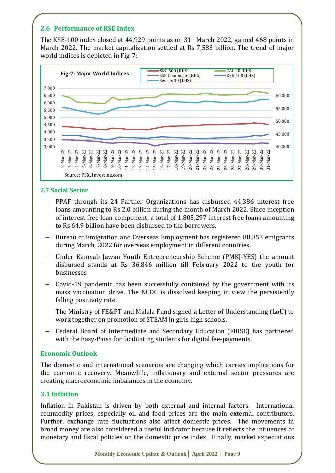# **2.6 Performance of KSE Index**

The KSE-100 index closed at 44,929 points as on 31st March 2022, gained 468 points in March 2022. The market capitalization settled at Rs 7,583 billion. The trend of major world indices is depicted in Fig-7:



#### **2.7 Social Sector**

- − PPAF through its 24 Partner Organizations has disbursed 44,386 interest free loans amounting to Rs 2.0 billion during the month of March 2022. Since inception of interest free loan component, a total of 1,805,297 interest free loans amounting to Rs 64.9 billion have been disbursed to the borrowers.
- Bureau of Emigration and Overseas Employment has registered 88,353 emigrants during March, 2022 for overseas employment in different countries.
- Under Kamyab Jawan Youth Entrepreneurship Scheme (PMKJ-YES) the amount disbursed stands at Rs 36,846 million till February 2022 to the youth for businesses
- − Covid-19 pandemic has been successfully contained by the government with its mass vaccination drive. The NCOC is dissolved keeping in view the persistently falling positivity rate.
- The Ministry of FE&PT and Malala Fund signed a Letter of Understanding (LoU) to work together on promotion of STEAM in girls high schools.
- − Federal Board of Intermediate and Secondary Education (FBISE) has partnered with the Easy-Paisa for facilitating students for digital fee-payments.

#### **Economic Outlook**

The domestic and international scenarios are changing which carries implications for the economic recovery. Meanwhile, inflationary and external sector pressures are creating macroeconomic imbalances in the economy.

#### **3.1 Inflation**

Inflation in Pakistan is driven by both external and internal factors. International commodity prices, especially oil and food prices are the main external contributors. Further, exchange rate fluctuations also affect domestic prices. The movements in broad money are also considered a useful indicator because it reflects the influences of monetary and fiscal policies on the domestic price index. Finally, market expectations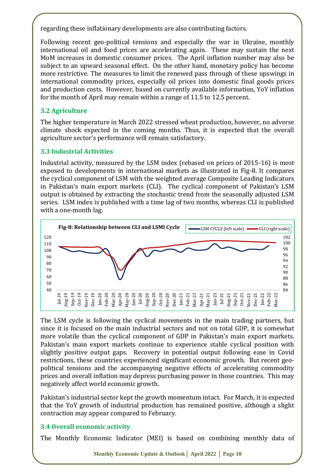regarding these inflationary developments are also contributing factors.

Following recent geo-political tensions and especially the war in Ukraine, monthly international oil and food prices are accelerating again. These may sustain the next MoM increases in domestic consumer prices. The April inflation number may also be subject to an upward seasonal effect. On the other hand, monetary policy has become more restrictive. The measures to limit the renewed pass through of these upswings in international commodity prices, especially oil prices into domestic final goods prices and production costs. However, based on currently available information, YoY inflation for the month of April may remain within a range of 11.5 to 12.5 percent.

#### **3.2 Agriculture**

The higher temperature in March 2022 stressed wheat production, however, no adverse climate shock expected in the coming months. Thus, it is expected that the overall agriculture sector's performance will remain satisfactory.

#### **3.3 Industrial Activities**

Industrial activity, measured by the LSM index (rebased on prices of 2015-16) is most exposed to developments in international markets as illustrated in Fig-8. It compares the cyclical component of LSM with the weighted average Composite Leading Indicators in Pakistan's main export markets (CLI). The cyclical component of Pakistan's LSM output is obtained by extracting the stochastic trend from the seasonally adjusted LSM series. LSM index is published with a time lag of two months, whereas CLI is published with a one-month lag.



The LSM cycle is following the cyclical movements in the main trading partners, but since it is focused on the main industrial sectors and not on total GDP, it is somewhat more volatile than the cyclical component of GDP in Pakistan's main export markets. Pakistan's main export markets continue to experience stable cyclical position with slightly positive output gaps. Recovery in potential output following ease in Covid restrictions, these countries experienced significant economic growth. But recent geopolitical tensions and the accompanying negative effects of accelerating commodity prices and overall inflation may depress purchasing power in those countries. This may negatively affect world economic growth.

Pakistan's industrial sector kept the growth momentum intact. For March, it is expected that the YoY growth of industrial production has remained positive, although a slight contraction may appear compared to February.

# **3.4 Overall economic activity**

The Monthly Economic Indicator (MEI) is based on combining monthly data of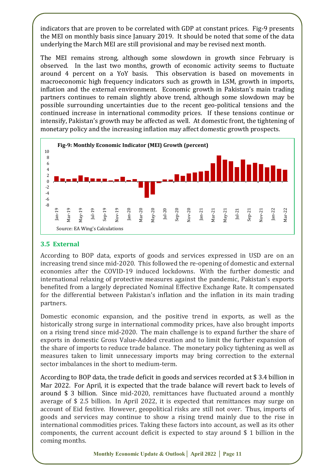indicators that are proven to be correlated with GDP at constant prices. Fig-9 presents the MEI on monthly basis since January 2019. It should be noted that some of the data underlying the March MEI are still provisional and may be revised next month.

The MEI remains strong, although some slowdown in growth since February is observed. In the last two months, growth of economic activity seems to fluctuate around 4 percent on a YoY basis. This observation is based on movements in macroeconomic high frequency indicators such as growth in LSM, growth in imports, inflation and the external environment. Economic growth in Pakistan's main trading partners continues to remain slightly above trend, although some slowdown may be possible surrounding uncertainties due to the recent geo-political tensions and the continued increase in international commodity prices. If these tensions continue or intensify, Pakistan's growth may be affected as well. At domestic front, the tightening of monetary policy and the increasing inflation may affect domestic growth prospects.



#### **3.5 External**

According to BOP data, exports of goods and services expressed in USD are on an increasing trend since mid-2020. This followed the re-opening of domestic and external economies after the COVID-19 induced lockdowns. With the further domestic and international relaxing of protective measures against the pandemic, Pakistan's exports benefited from a largely depreciated Nominal Effective Exchange Rate. It compensated for the differential between Pakistan's inflation and the inflation in its main trading partners.

Domestic economic expansion, and the positive trend in exports, as well as the historically strong surge in international commodity prices, have also brought imports on a rising trend since mid-2020. The main challenge is to expand further the share of exports in domestic Gross Value-Added creation and to limit the further expansion of the share of imports to reduce trade balance. The monetary policy tightening as well as measures taken to limit unnecessary imports may bring correction to the external sector imbalances in the short to medium-term.

According to BOP data, the trade deficit in goods and services recorded at \$ 3.4 billion in Mar 2022. For April, it is expected that the trade balance will revert back to levels of around \$ 3 billion. Since mid-2020, remittances have fluctuated around a monthly average of \$ 2.5 billion. In April 2022, it is expected that remittances may surge on account of Eid festive. However, geopolitical risks are still not over. Thus, imports of goods and services may continue to show a rising trend mainly due to the rise in international commodities prices. Taking these factors into account, as well as its other components, the current account deficit is expected to stay around \$ 1 billion in the coming months.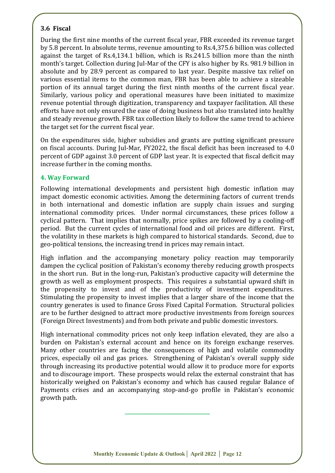# **3.6 Fiscal**

During the first nine months of the current fiscal year, FBR exceeded its revenue target by 5.8 percent. In absolute terms, revenue amounting to Rs.4,375.6 billion was collected against the target of Rs.4,134.1 billion, which is Rs.241.5 billion more than the ninth month's target. Collection during Jul-Mar of the CFY is also higher by Rs. 981.9 billion in absolute and by 28.9 percent as compared to last year. Despite massive tax relief on various essential items to the common man, FBR has been able to achieve a sizeable portion of its annual target during the first ninth months of the current fiscal year. Similarly, various policy and operational measures have been initiated to maximize revenue potential through digitization, transparency and taxpayer facilitation. All these efforts have not only ensured the ease of doing business but also translated into healthy and steady revenue growth. FBR tax collection likely to follow the same trend to achieve the target set for the current fiscal year.

On the expenditures side, higher subsidies and grants are putting significant pressure on fiscal accounts. During Jul-Mar, FY2022, the fiscal deficit has been increased to 4.0 percent of GDP against 3.0 percent of GDP last year. It is expected that fiscal deficit may increase further in the coming months.

#### **4. Way Forward**

Following international developments and persistent high domestic inflation may impact domestic economic activities. Among the determining factors of current trends in both international and domestic inflation are supply chain issues and surging international commodity prices. Under normal circumstances, these prices follow a cyclical pattern. That implies that normally, price spikes are followed by a cooling-off period. But the current cycles of international food and oil prices are different. First, the volatility in these markets is high compared to historical standards. Second, due to geo-political tensions, the increasing trend in prices may remain intact.

High inflation and the accompanying monetary policy reaction may temporarily dampen the cyclical position of Pakistan's economy thereby reducing growth prospects in the short run. But in the long-run, Pakistan's productive capacity will determine the growth as well as employment prospects. This requires a substantial upward shift in the propensity to invest and of the productivity of investment expenditures. Stimulating the propensity to invest implies that a larger share of the income that the country generates is used to finance Gross Fixed Capital Formation. Structural policies are to be further designed to attract more productive investments from foreign sources (Foreign Direct Investments) and from both private and public domestic investors.

High international commodity prices not only keep inflation elevated, they are also a burden on Pakistan's external account and hence on its foreign exchange reserves. Many other countries are facing the consequences of high and volatile commodity prices, especially oil and gas prices. Strengthening of Pakistan's overall supply side through increasing its productive potential would allow it to produce more for exports and to discourage import. These prospects would relax the external constraint that has historically weighed on Pakistan's economy and which has caused regular Balance of Payments crises and an accompanying stop-and-go profile in Pakistan's economic growth path.

**\_\_\_\_\_\_\_\_\_\_\_\_\_\_\_\_\_\_\_\_\_\_\_\_\_\_\_\_\_\_\_\_\_\_**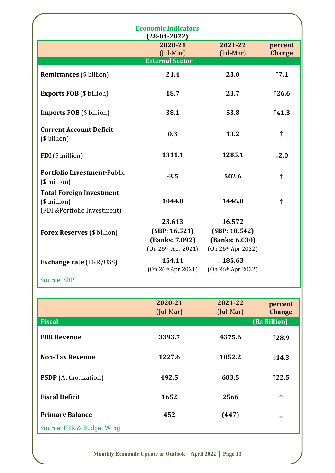|                                                                                    | <b>Economic Indicators</b><br>$(28-04-2022)$                      |                                                                 |                          |
|------------------------------------------------------------------------------------|-------------------------------------------------------------------|-----------------------------------------------------------------|--------------------------|
|                                                                                    | 2020-21<br>(Jul-Mar)                                              | 2021-22<br>$($ Jul-Mar $)$                                      | percent<br><b>Change</b> |
|                                                                                    | <b>External Sector</b>                                            |                                                                 |                          |
| <b>Remittances</b> (\$ billion)                                                    | 21.4                                                              | 23.0                                                            | 17.1                     |
| <b>Exports FOB</b> (\$ billion)                                                    | 18.7                                                              | 23.7                                                            | <b>126.6</b>             |
| <b>Imports FOB</b> (\$ billion)                                                    | 38.1                                                              | 53.8                                                            | 141.3                    |
| <b>Current Account Deficit</b><br>(\$ billion)                                     | 0.3                                                               | 13.2                                                            | ↑                        |
| FDI (\$ million)                                                                   | 1311.1                                                            | 1285.1                                                          | $\downarrow$ 2.0         |
| <b>Portfolio Investment-Public</b><br>$($$ million $)$                             | $-3.5$                                                            | 502.6                                                           | $\uparrow$               |
| <b>Total Foreign Investment</b><br>$($$ million $)$<br>(FDI &Portfolio Investment) | 1044.8                                                            | 1446.0                                                          | $\uparrow$               |
| <b>Forex Reserves (\$ billion)</b>                                                 | 23.613<br>(SBP: 16.521)<br>(Banks: 7.092)<br>$(0n 26th$ Apr 2021) | 16.572<br>(SBP: 10.542)<br>(Banks: 6.030)<br>(On 26th Apr 2022) |                          |
| <b>Exchange rate (PKR/US\$)</b>                                                    | 154.14<br>$(0n 26th$ Apr 2021)                                    | 185.63<br>(On 26th Apr 2022)                                    |                          |
| <b>Source: SBP</b>                                                                 |                                                                   |                                                                 |                          |

|                             | 2020-21<br>$($ Jul-Mar $)$ | 2021-22<br>$(Jul-Mar)$ | percent<br><b>Change</b> |
|-----------------------------|----------------------------|------------------------|--------------------------|
| <b>Fiscal</b>               |                            |                        | (Rs Billion)             |
| <b>FBR Revenue</b>          | 3393.7                     | 4375.6                 | 128.9                    |
| <b>Non-Tax Revenue</b>      | 1227.6                     | 1052.2                 | $\downarrow$ 14.3        |
| <b>PSDP</b> (Authorization) | 492.5                      | 603.5                  | 122.5                    |
| <b>Fiscal Deficit</b>       | 1652                       | 2566                   | ↑                        |
| <b>Primary Balance</b>      | 452                        | (447)                  | ↓                        |
| Source: FBR & Budget Wing   |                            |                        |                          |